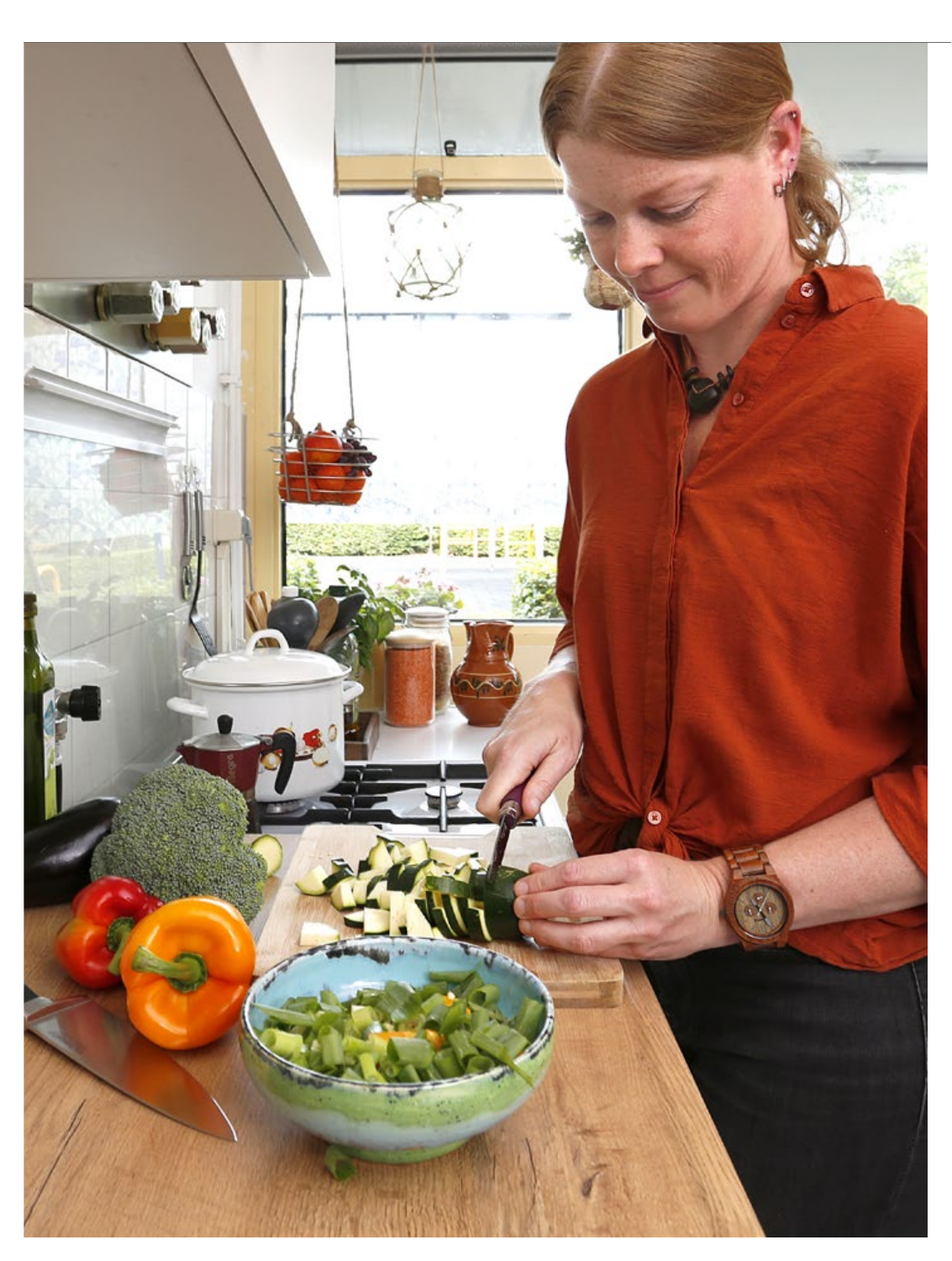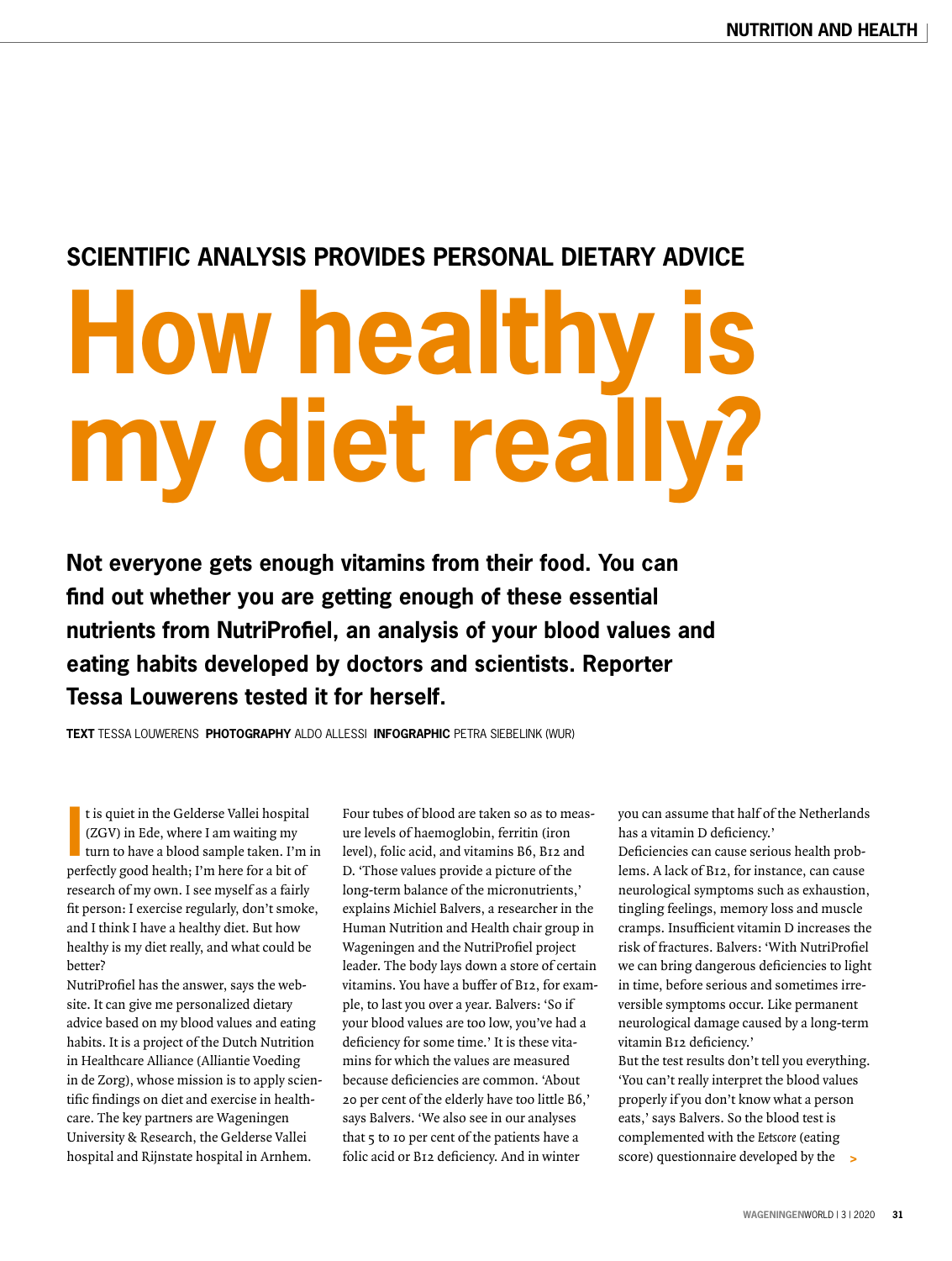# **SCIENTIFIC ANALYSIS PROVIDES PERSONAL DIETARY ADVICE**

# **How healthy is my diet really?**

**Not everyone gets enough vitamins from their food. You can find out whether you are getting enough of these essential nutrients from NutriProfiel, an analysis of your blood values and eating habits developed by doctors and scientists. Reporter Tessa Louwerens tested it for herself.**

**TEXT** TESSA LOUWERENS **PHOTOGRAPHY** ALDO ALLESSI **INFOGRAPHIC** PETRA SIEBELINK (WUR)

**I** t is quiet in the Gelderse Vallei hospital (ZGV) in Ede, where I am waiting my turn to have a blood sample taken. I'm in perfectly good health; I'm here for a bit of research of my own. I see myself as a fairly fit person: I exercise regularly, don't smoke, and I think I have a healthy diet. But how healthy is my diet really, and what could be better?

NutriProfiel has the answer, says the website. It can give me personalized dietary advice based on my blood values and eating habits. It is a project of the Dutch Nutrition in Healthcare Alliance (Alliantie Voeding in de Zorg), whose mission is to apply scientific findings on diet and exercise in healthcare. The key partners are Wageningen University & Research, the Gelderse Vallei hospital and Rijnstate hospital in Arnhem.

Four tubes of blood are taken so as to measure levels of haemoglobin, ferritin (iron level), folic acid, and vitamins B6, B12 and D. 'Those values provide a picture of the long-term balance of the micronutrients,' explains Michiel Balvers, a researcher in the Human Nutrition and Health chair group in Wageningen and the NutriProfiel project leader. The body lays down a store of certain vitamins. You have a buffer of B12, for example, to last you over a year. Balvers: 'So if your blood values are too low, you've had a deficiency for some time.' It is these vitamins for which the values are measured because deficiencies are common. 'About 20 per cent of the elderly have too little B6,' says Balvers. 'We also see in our analyses that  $5$  to 10 per cent of the patients have a folic acid or B12 deficiency. And in winter

you can assume that half of the Netherlands has a vitamin D deficiency.'

Deficiencies can cause serious health problems. A lack of B12, for instance, can cause neurological symptoms such as exhaustion, tingling feelings, memory loss and muscle cramps. Insufficient vitamin D increases the risk of fractures. Balvers: 'With NutriProfiel we can bring dangerous deficiencies to light in time, before serious and sometimes irreversible symptoms occur. Like permanent neurological damage caused by a long-term vitamin B12 deficiency.'

But the test results don't tell you everything. 'You can't really interpret the blood values properly if you don't know what a person eats,' says Balvers. So the blood test is complemented with the Eetscore (eating score) questionnaire developed by the **>**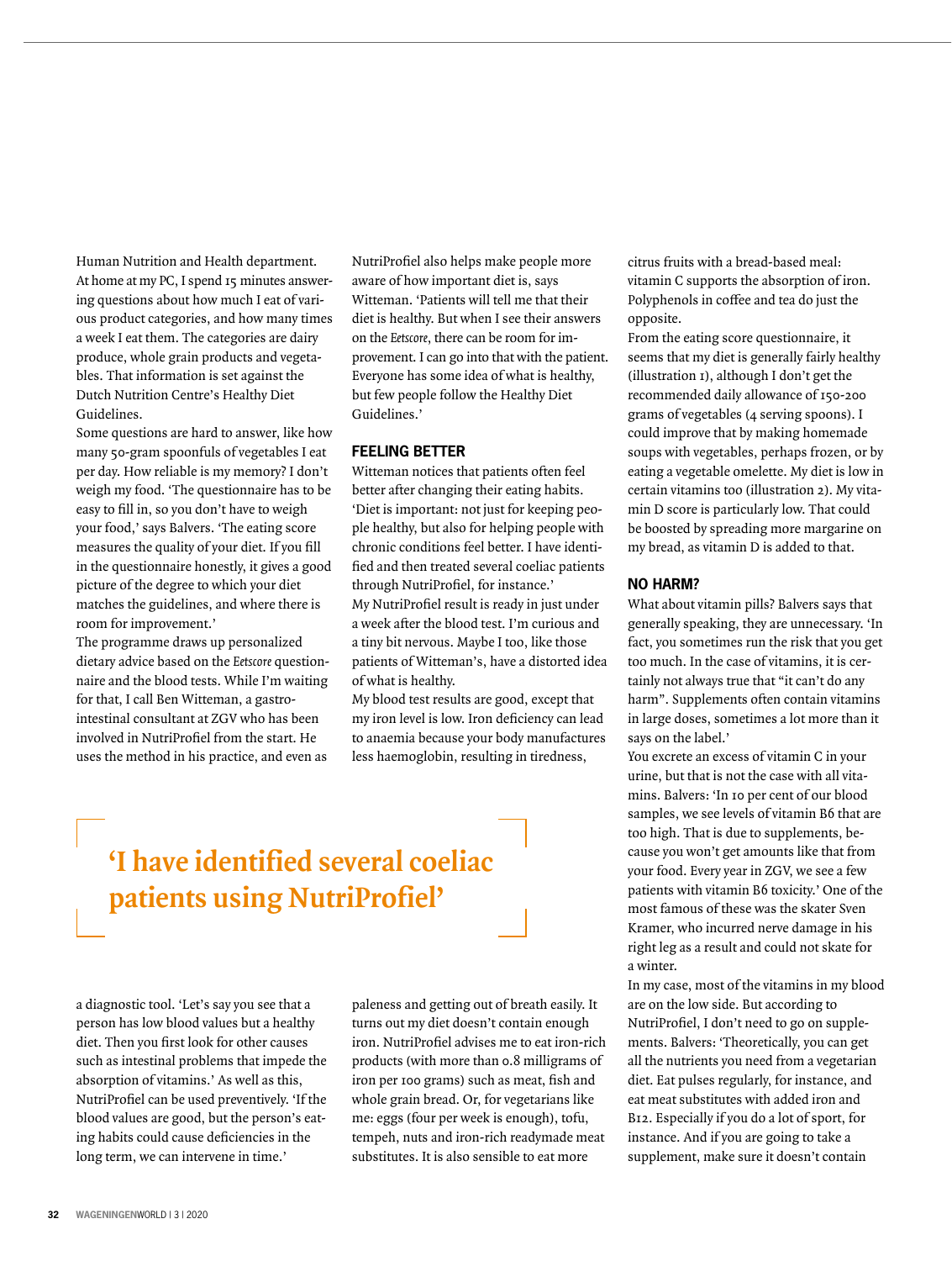Human Nutrition and Health department. At home at my PC, I spend 15 minutes answering questions about how much I eat of various product categories, and how many times a week I eat them. The categories are dairy produce, whole grain products and vegetables. That information is set against the Dutch Nutrition Centre's Healthy Diet Guidelines.

Some questions are hard to answer, like how many 50-gram spoonfuls of vegetables I eat per day. How reliable is my memory? I don't weigh my food. 'The questionnaire has to be easy to fill in, so you don't have to weigh your food,' says Balvers. 'The eating score measures the quality of your diet. If you fill in the questionnaire honestly, it gives a good picture of the degree to which your diet matches the guidelines, and where there is room for improvement.'

The programme draws up personalized dietary advice based on the Eetscore questionnaire and the blood tests. While I'm waiting for that, I call Ben Witteman, a gastrointestinal consultant at ZGV who has been involved in NutriProfiel from the start. He uses the method in his practice, and even as

NutriProfiel also helps make people more aware of how important diet is, says Witteman. 'Patients will tell me that their diet is healthy. But when I see their answers on the Eetscore, there can be room for improvement. I can go into that with the patient. Everyone has some idea of what is healthy, but few people follow the Healthy Diet Guidelines.'

### **FEELING BETTER**

Witteman notices that patients often feel better after changing their eating habits. 'Diet is important: not just for keeping people healthy, but also for helping people with chronic conditions feel better. I have identified and then treated several coeliac patients through NutriProfiel, for instance.' My NutriProfiel result is ready in just under a week after the blood test. I'm curious and a tiny bit nervous. Maybe I too, like those patients of Witteman's, have a distorted idea of what is healthy.

My blood test results are good, except that my iron level is low. Iron deficiency can lead to anaemia because your body manufactures less haemoglobin, resulting in tiredness,

# **'I have identified several coeliac patients using NutriProfiel'**

a diagnostic tool. 'Let's say you see that a person has low blood values but a healthy diet. Then you first look for other causes such as intestinal problems that impede the absorption of vitamins.' As well as this, NutriProfiel can be used preventively. 'If the blood values are good, but the person's eating habits could cause deficiencies in the long term, we can intervene in time.'

paleness and getting out of breath easily. It turns out my diet doesn't contain enough iron. NutriProfiel advises me to eat iron-rich products (with more than 0.8 milligrams of iron per 100 grams) such as meat, fish and whole grain bread. Or, for vegetarians like me: eggs (four per week is enough), tofu, tempeh, nuts and iron-rich readymade meat substitutes. It is also sensible to eat more

citrus fruits with a bread-based meal: vitamin C supports the absorption of iron. Polyphenols in coffee and tea do just the opposite.

From the eating score questionnaire, it seems that my diet is generally fairly healthy (illustration 1), although I don't get the recommended daily allowance of 150-200 grams of vegetables (4 serving spoons). I could improve that by making homemade soups with vegetables, perhaps frozen, or by eating a vegetable omelette. My diet is low in certain vitamins too (illustration 2). My vitamin D score is particularly low. That could be boosted by spreading more margarine on my bread, as vitamin D is added to that.

## **NO HARM?**

What about vitamin pills? Balvers says that generally speaking, they are unnecessary. 'In fact, you sometimes run the risk that you get too much. In the case of vitamins, it is certainly not always true that "it can't do any harm". Supplements often contain vitamins in large doses, sometimes a lot more than it says on the label.'

You excrete an excess of vitamin C in your urine, but that is not the case with all vitamins. Balvers: 'In 10 per cent of our blood samples, we see levels of vitamin B6 that are too high. That is due to supplements, because you won't get amounts like that from your food. Every year in ZGV, we see a few patients with vitamin B6 toxicity.' One of the most famous of these was the skater Sven Kramer, who incurred nerve damage in his right leg as a result and could not skate for a winter.

In my case, most of the vitamins in my blood are on the low side. But according to NutriProfiel, I don't need to go on supplements. Balvers: 'Theoretically, you can get all the nutrients you need from a vegetarian diet. Eat pulses regularly, for instance, and eat meat substitutes with added iron and B12. Especially if you do a lot of sport, for instance. And if you are going to take a supplement, make sure it doesn't contain